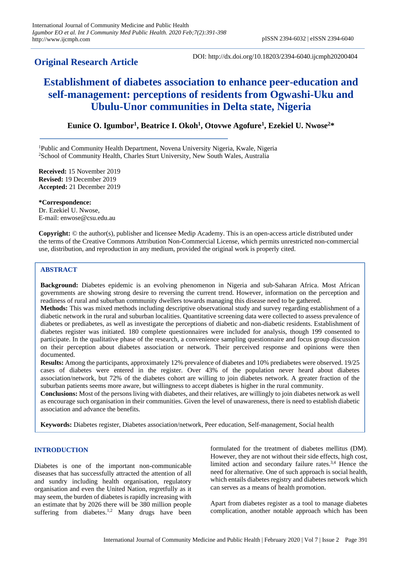## **Original Research Article**

DOI: http://dx.doi.org/10.18203/2394-6040.ijcmph20200404

# **Establishment of diabetes association to enhance peer-education and self-management: perceptions of residents from Ogwashi-Uku and Ubulu-Unor communities in Delta state, Nigeria**

**Eunice O. Igumbor<sup>1</sup> , Beatrice I. Okoh<sup>1</sup> , Otovwe Agofure<sup>1</sup> , Ezekiel U. Nwose<sup>2</sup>\***

<sup>1</sup>Public and Community Health Department, Novena University Nigeria, Kwale, Nigeria <sup>2</sup>School of Community Health, Charles Sturt University, New South Wales, Australia

**Received:** 15 November 2019 **Revised:** 19 December 2019 **Accepted:** 21 December 2019

**\*Correspondence:** Dr. Ezekiel U. Nwose, E-mail: enwose@csu.edu.au

**Copyright:** © the author(s), publisher and licensee Medip Academy. This is an open-access article distributed under the terms of the Creative Commons Attribution Non-Commercial License, which permits unrestricted non-commercial use, distribution, and reproduction in any medium, provided the original work is properly cited.

## **ABSTRACT**

**Background:** Diabetes epidemic is an evolving phenomenon in Nigeria and sub-Saharan Africa. Most African governments are showing strong desire to reversing the current trend. However, information on the perception and readiness of rural and suburban community dwellers towards managing this disease need to be gathered.

**Methods:** This was mixed methods including descriptive observational study and survey regarding establishment of a diabetic network in the rural and suburban localities. Quantitative screening data were collected to assess prevalence of diabetes or prediabetes, as well as investigate the perceptions of diabetic and non-diabetic residents. Establishment of diabetes register was initiated. 180 complete questionnaires were included for analysis, though 199 consented to participate. In the qualitative phase of the research, a convenience sampling questionnaire and focus group discussion on their perception about diabetes association or network. Their perceived response and opinions were then documented.

**Results:** Among the participants, approximately 12% prevalence of diabetes and 10% prediabetes were observed. 19/25 cases of diabetes were entered in the register. Over 43% of the population never heard about diabetes association/network, but 72% of the diabetes cohort are willing to join diabetes network. A greater fraction of the suburban patients seems more aware, but willingness to accept diabetes is higher in the rural community.

**Conclusions:** Most of the persons living with diabetes, and their relatives, are willingly to join diabetes network as well as encourage such organisation in their communities. Given the level of unawareness, there is need to establish diabetic association and advance the benefits.

**Keywords:** Diabetes register, Diabetes association/network, Peer education, Self-management, Social health

## **INTRODUCTION**

Diabetes is one of the important non-communicable diseases that has successfully attracted the attention of all and sundry including health organisation, regulatory organisation and even the United Nation, regretfully as it may seem, the burden of diabetes is rapidly increasing with an estimate that by 2026 there will be 380 million people suffering from diabetes.<sup>1,2</sup> Many drugs have been

formulated for the treatment of diabetes mellitus (DM). However, they are not without their side effects, high cost, limited action and secondary failure rates.3,4 Hence the need for alternative. One of such approach is social health, which entails diabetes registry and diabetes network which can serves as a means of health promotion.

Apart from diabetes register as a tool to manage diabetes complication, another notable approach which has been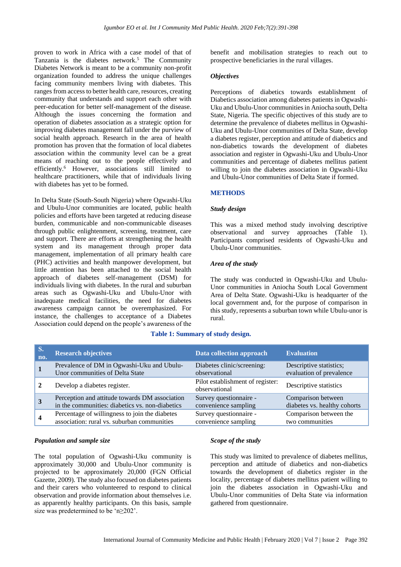proven to work in Africa with a case model of that of Tanzania is the diabetes network.<sup>5</sup> The Community Diabetes Network is meant to be a community non-profit organization founded to address the unique challenges facing community members living with diabetes. This ranges from access to better health care, resources, creating community that understands and support each other with peer-education for better self-management of the disease. Although the issues concerning the formation and operation of diabetes association as a strategic option for improving diabetes management fall under the purview of social health approach. Research in the area of health promotion has proven that the formation of local diabetes association within the community level can be a great means of reaching out to the people effectively and efficiently.<sup>6</sup> However, associations still limited to healthcare practitioners, while that of individuals living with diabetes has yet to be formed.

In Delta State (South-South Nigeria) where Ogwashi-Uku and Ubulu-Unor communities are located, public health policies and efforts have been targeted at reducing disease burden, communicable and non-communicable diseases through public enlightenment, screening, treatment, care and support. There are efforts at strengthening the health system and its management through proper data management, implementation of all primary health care (PHC) activities and health manpower development, but little attention has been attached to the social health approach of diabetes self-management (DSM) for individuals living with diabetes. In the rural and suburban areas such as Ogwashi-Uku and Ubulu-Unor with inadequate medical facilities, the need for diabetes awareness campaign cannot be overemphasized. For instance, the challenges to acceptance of a Diabetes Association could depend on the people's awareness of the benefit and mobilisation strategies to reach out to prospective beneficiaries in the rural villages.

#### *Objectives*

Perceptions of diabetics towards establishment of Diabetics association among diabetes patients in Ogwashi-Uku and Ubulu-Unor communities in Aniocha south, Delta State, Nigeria. The specific objectives of this study are to determine the prevalence of diabetes mellitus in Ogwashi-Uku and Ubulu-Unor communities of Delta State, develop a diabetes register, perception and attitude of diabetics and non-diabetics towards the development of diabetes association and register in Ogwashi-Uku and Ubulu-Unor communities and percentage of diabetes mellitus patient willing to join the diabetes association in Ogwashi-Uku and Ubulu-Unor communities of Delta State if formed.

#### **METHODS**

#### *Study design*

This was a mixed method study involving descriptive observational and survey approaches (Table 1). Participants comprised residents of Ogwashi-Uku and Ubulu-Unor communities.

#### *Area of the study*

The study was conducted in Ogwashi-Uku and Ubulu-Unor communities in Aniocha South Local Government Area of Delta State. Ogwashi-Uku is headquarter of the local government and, for the purpose of comparison in this study, represents a suburban town while Ubulu-unor is rural.

## **Table 1: Summary of study design.**

| S.<br>no. | <b>Research objectives</b>                      | Data collection approach                          | <b>Evaluation</b>            |
|-----------|-------------------------------------------------|---------------------------------------------------|------------------------------|
|           | Prevalence of DM in Ogwashi-Uku and Ubulu-      | Diabetes clinic/screening:                        | Descriptive statistics;      |
|           | Unor communities of Delta State                 | observational                                     | evaluation of prevalence     |
|           | Develop a diabetes register.                    | Pilot establishment of register:<br>observational | Descriptive statistics       |
|           | Perception and attitude towards DM association  | Survey questionnaire -                            | Comparison between           |
|           | in the communities: diabetics vs. non-diabetics | convenience sampling                              | diabetes vs. healthy cohorts |
|           | Percentage of willingness to join the diabetes  | Survey questionnaire -                            | Comparison between the       |
|           | association: rural vs. suburban communities     | convenience sampling                              | two communities              |

#### *Population and sample size*

The total population of Ogwashi-Uku community is approximately 30,000 and Ubulu-Unor community is projected to be approximately 20,000 (FGN Official Gazette, 2009). The study also focused on diabetes patients and their carers who volunteered to respond to clinical observation and provide information about themselves i.e. as apparently healthy participants. On this basis, sample size was predetermined to be 'n≥202'.

## *Scope of the study*

This study was limited to prevalence of diabetes mellitus, perception and attitude of diabetics and non-diabetics towards the development of diabetics register in the locality, percentage of diabetes mellitus patient willing to join the diabetes association in Ogwashi-Uku and Ubulu-Unor communities of Delta State via information gathered from questionnaire.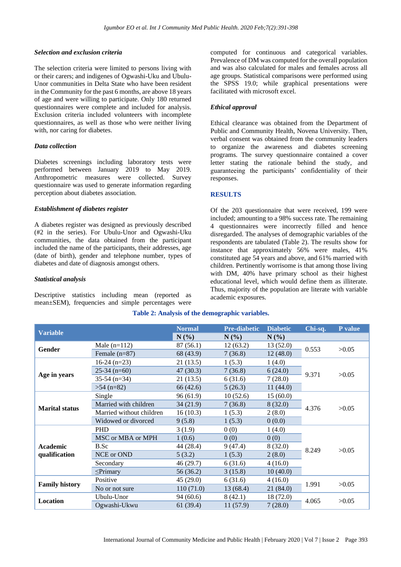#### *Selection and exclusion criteria*

The selection criteria were limited to persons living with or their carers; and indigenes of Ogwashi-Uku and Ubulu-Unor communities in Delta State who have been resident in the Community for the past 6 months, are above 18 years of age and were willing to participate. Only 180 returned questionnaires were complete and included for analysis. Exclusion criteria included volunteers with incomplete questionnaires, as well as those who were neither living with, nor caring for diabetes.

## *Data collection*

Diabetes screenings including laboratory tests were performed between January 2019 to May 2019. Anthropometric measures were collected. Survey questionnaire was used to generate information regarding perception about diabetes association.

#### *Establishment of diabetes register*

A diabetes register was designed as previously described (#2 in the series). For Ubulu-Unor and Ogwashi-Uku communities, the data obtained from the participant included the name of the participants, their addresses, age (date of birth), gender and telephone number, types of diabetes and date of diagnosis amongst others.

#### *Statistical analysis*

Descriptive statistics including mean (reported as mean±SEM), frequencies and simple percentages were

computed for continuous and categorical variables. Prevalence of DM was computed for the overall population and was also calculated for males and females across all age groups. Statistical comparisons were performed using the SPSS 19.0; while graphical presentations were facilitated with microsoft excel.

#### *Ethical approval*

Ethical clearance was obtained from the Department of Public and Community Health, Novena University. Then, verbal consent was obtained from the community leaders to organize the awareness and diabetes screening programs. The survey questionnaire contained a cover letter stating the rationale behind the study, and guaranteeing the participants' confidentiality of their responses.

#### **RESULTS**

Of the 203 questionnaire that were received, 199 were included; amounting to a 98% success rate. The remaining 4 questionnaires were incorrectly filled and hence disregarded. The analyses of demographic variables of the respondents are tabulated (Table 2). The results show for instance that approximately 56% were males, 41% constituted age 54 years and above, and 61% married with children. Pertinently worrisome is that among those living with DM, 40% have primary school as their highest educational level, which would define them as illiterate. Thus, majority of the population are literate with variable academic exposures.

| <b>Variable</b>       |                          | <b>Normal</b> | <b>Pre-diabetic</b> | <b>Diabetic</b> | Chi-sq. | P value |
|-----------------------|--------------------------|---------------|---------------------|-----------------|---------|---------|
|                       |                          | N(%)          | $N(\%)$             | $N(\%)$         |         |         |
| Gender                | Male $(n=112)$           | 87(56.1)      | 12(63.2)            | 13(52.0)        | 0.553   | >0.05   |
|                       | Female $(n=87)$          | 68 (43.9)     | 7(36.8)             | 12(48.0)        |         |         |
|                       | $16-24$ (n=23)           | 21(13.5)      | 1(5.3)              | 1(4.0)          |         | >0.05   |
|                       | $25-34$ (n=60)           | 47(30.3)      | 7(36.8)             | 6(24.0)         | 9.371   |         |
| Age in years          | $35-54$ (n=34)           | 21(13.5)      | 6(31.6)             | 7(28.0)         |         |         |
|                       | $>54$ (n=82)             | 66 (42.6)     | 5(26.3)             | 11 $(44.0)$     |         |         |
|                       | Single                   | 96(61.9)      | 10(52.6)            | 15(60.0)        | 4.376   | >0.05   |
| <b>Marital status</b> | Married with children    | 34(21.9)      | 7(36.8)             | 8(32.0)         |         |         |
|                       | Married without children | 16(10.3)      | 1(5.3)              | 2(8.0)          |         |         |
|                       | Widowed or divorced      | 9(5.8)        | 1(5.3)              | 0(0.0)          |         |         |
|                       | <b>PHD</b>               | 3(1.9)        | 0(0)                | 1(4.0)          |         | >0.05   |
|                       | MSC or MBA or MPH        | 1(0.6)        | 0(0)                | 0(0)            |         |         |
| Academic              | B.Sc                     | 44 (28.4)     | 9(47.4)             | 8(32.0)         | 8.249   |         |
| qualification         | NCE or OND               | 5(3.2)        | 1(5.3)              | 2(8.0)          |         |         |
|                       | Secondary                | 46 (29.7)     | 6(31.6)             | 4(16.0)         |         |         |
|                       | $\leq$ Primary           | 56 (36.2)     | 3(15.8)             | 10(40.0)        |         |         |
| <b>Family history</b> | Positive                 | 45(29.0)      | 6(31.6)             | 4(16.0)         | 1.991   | >0.05   |
|                       | No or not sure           | 110(71.0)     | 13 (68.4)           | 21(84.0)        |         |         |
|                       | Ubulu-Unor               | 94(60.6)      | 8(42.1)             | 18 (72.0)       |         | >0.05   |
| Location              | Ogwashi-Ukwu             | 61(39.4)      | 11(57.9)            | 7(28.0)         | 4.065   |         |

## **Table 2: Analysis of the demographic variables.**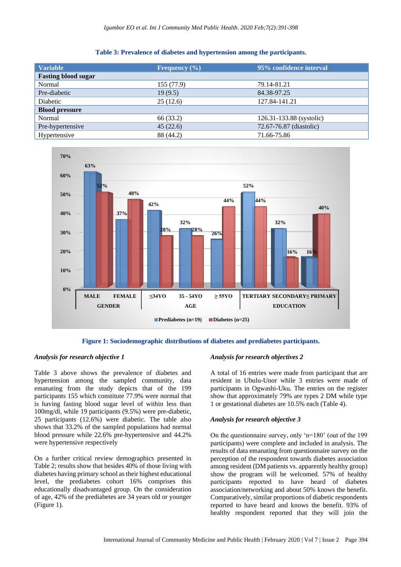| <b>Variable</b>            | Frequency $(\% )$ | 95% confidence interval  |  |
|----------------------------|-------------------|--------------------------|--|
| <b>Fasting blood sugar</b> |                   |                          |  |
| Normal                     | 155(77.9)         | 79.14-81.21              |  |
| Pre-diabetic               | 19(9.5)           | 84.38-97.25              |  |
| Diabetic                   | 25(12.6)          | 127.84-141.21            |  |
| <b>Blood pressure</b>      |                   |                          |  |
| Normal                     | 66 (33.2)         | 126.31-133.88 (systolic) |  |
| Pre-hypertensive           | 45(22.6)          | 72.67-76.87 (diastolic)  |  |
| Hypertensive               | 88 (44.2)         | 71.66-75.86              |  |

**Table 3: Prevalence of diabetes and hypertension among the participants.**



**Figure 1: Sociodemographic distributions of diabetes and prediabetes participants.**

## *Analysis for research objective 1*

Table 3 above shows the prevalence of diabetes and hypertension among the sampled community, data emanating from the study depicts that of the 199 participants 155 which constitute 77.9% were normal that is having fasting blood sugar level of within less than 100mg/dl, while 19 participants (9.5%) were pre-diabetic, 25 participants (12.6%) were diabetic. The table also shows that 33.2% of the sampled populations had normal blood pressure while 22.6% pre-hypertensive and 44.2% were hypertensive respectively

On a further critical review demographics presented in Table 2; results show that besides 40% of those living with diabetes having primary school as their highest educational level, the prediabetes cohort 16% comprises this educationally disadvantaged group. On the consideration of age, 42% of the prediabetes are 34 years old or younger (Figure 1).

## *Analysis for research objectives 2*

A total of 16 entries were made from participant that are resident in Ubulu-Unor while 3 entries were made of participants in Ogwashi-Uku. The entries on the register show that approximately 79% are types 2 DM while type 1 or gestational diabetes are 10.5% each (Table 4).

## *Analysis for research objective 3*

On the questionnaire survey, only 'n=180' (out of the 199 participants) were complete and included in analysis. The results of data emanating from questionnaire survey on the perception of the respondent towards diabetes association among resident (DM patients vs. apparently healthy group) show the program will be welcomed. 57% of healthy participants reported to have heard of diabetes association/networking and about 50% knows the benefit. Comparatively, similar proportions of diabetic respondents reported to have heard and knows the benefit. 93% of healthy respondent reported that they will join the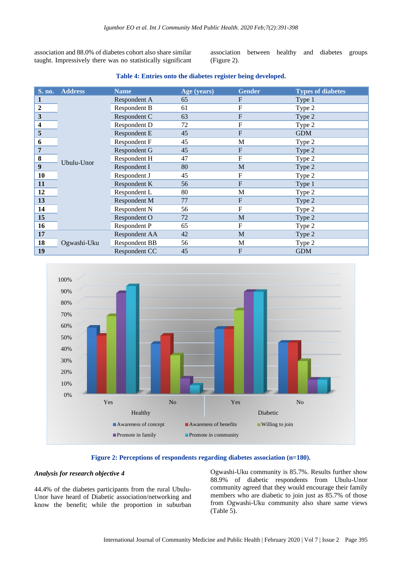association and 88.0% of diabetes cohort also share similar taught. Impressively there was no statistically significant association between healthy and diabetes groups (Figure 2).

#### **Table 4: Entries onto the diabetes register being developed.**

| S. no.           | <b>Address</b> | <b>Name</b>          | Age (years) | <b>Gender</b>    | <b>Types of diabetes</b> |
|------------------|----------------|----------------------|-------------|------------------|--------------------------|
| 1                |                | Respondent A         | 65          | F                | Type 1                   |
| $\overline{2}$   |                | Respondent B         | 61          | $\boldsymbol{F}$ | Type 2                   |
| $\mathbf{3}$     |                | Respondent C         | 63          | $\mathbf F$      | Type 2                   |
| 4                |                | Respondent D         | 72          | $\mathbf F$      | Type 2                   |
| 5                |                | Respondent E         | 45          | $\boldsymbol{F}$ | <b>GDM</b>               |
| 6                |                | Respondent F         | 45          | M                | Type 2                   |
| 7                | Ubulu-Unor     | Respondent G         | 45          | $\boldsymbol{F}$ | Type 2                   |
| $\bf{8}$         |                | Respondent H         | 47          | $\mathbf F$      | Type 2                   |
| $\boldsymbol{9}$ |                | Respondent I         | 80          | M                | Type 2                   |
| 10               |                | Respondent J         | 45          | F                | Type 2                   |
| 11               |                | Respondent K         | 56          | $\mathbf F$      | Type 1                   |
| 12               |                | Respondent L         | 80          | M                | Type 2                   |
| 13               |                | Respondent M         | 77          | F                | Type 2                   |
| 14               |                | Respondent N         | 56          | F                | Type 2                   |
| 15               |                | Respondent O         | 72          | M                | Type 2                   |
| 16               |                | Respondent P         | 65          | $\boldsymbol{F}$ | Type 2                   |
| 17               | Ogwashi-Uku    | Respondent AA        | 42          | M                | Type 2                   |
| 18               |                | <b>Respondent BB</b> | 56          | M                | Type 2                   |
| 19               |                | Respondent CC        | 45          | F                | <b>GDM</b>               |



## **Figure 2: Perceptions of respondents regarding diabetes association (n=180).**

## *Analysis for research objective 4*

44.4% of the diabetes participants from the rural Ubulu-Unor have heard of Diabetic association/networking and know the benefit; while the proportion in suburban Ogwashi-Uku community is 85.7%. Results further show 88.9% of diabetic respondents from Ubulu-Unor community agreed that they would encourage their family members who are diabetic to join just as 85.7% of those from Ogwashi-Uku community also share same views (Table 5).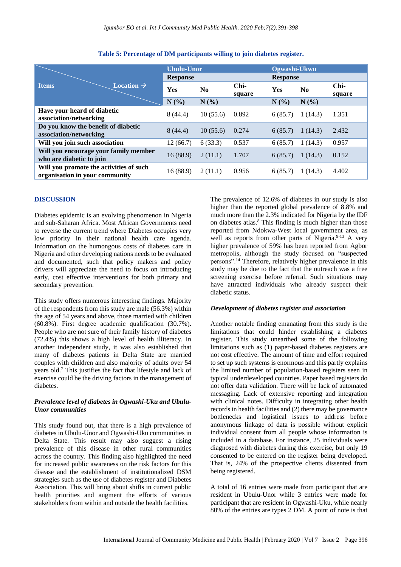|                                                                           | <b>Ubulu-Unor</b> |                |                  | Ogwashi-Ukwu    |         |                |
|---------------------------------------------------------------------------|-------------------|----------------|------------------|-----------------|---------|----------------|
|                                                                           | <b>Response</b>   |                |                  | <b>Response</b> |         |                |
| Location $\rightarrow$<br><b>Items</b>                                    | Yes               | N <sub>0</sub> | $Chi-$<br>square | <b>Yes</b>      | No      | Chi-<br>square |
|                                                                           | N(%)              | N(%)           |                  | N(%)            | N(%)    |                |
| Have your heard of diabetic<br>association/networking                     | 8(44.4)           | 10(55.6)       | 0.892            | 6(85.7)         | 1(14.3) | 1.351          |
| Do you know the benefit of diabetic<br>association/networking             | 8(44.4)           | 10(55.6)       | 0.274            | 6(85.7)         | 1(14.3) | 2.432          |
| Will you join such association                                            | 12(66.7)          | 6(33.3)        | 0.537            | 6(85.7)         | 1(14.3) | 0.957          |
| Will you encourage your family member<br>who are diabetic to join         | 16(88.9)          | 2(11.1)        | 1.707            | 6(85.7)         | 1(14.3) | 0.152          |
| Will you promote the activities of such<br>organisation in your community | 16(88.9)          | 2(11.1)        | 0.956            | 6(85.7)         | 1(14.3) | 4.402          |

## **Table 5: Percentage of DM participants willing to join diabetes register.**

## **DISCUSSION**

Diabetes epidemic is an evolving phenomenon in Nigeria and sub-Saharan Africa. Most African Governments need to reverse the current trend where Diabetes occupies very low priority in their national health care agenda. Information on the humongous costs of diabetes care in Nigeria and other developing nations needs to be evaluated and documented, such that policy makers and policy drivers will appreciate the need to focus on introducing early, cost effective interventions for both primary and secondary prevention.

This study offers numerous interesting findings. Majority of the respondents from this study are male (56.3%) within the age of 54 years and above, those married with children (60.8%). First degree academic qualification (30.7%). People who are not sure of their family history of diabetes (72.4%) this shows a high level of health illiteracy. In another independent study, it was also established that many of diabetes patients in Delta State are married couples with children and also majority of adults over 54 years old.<sup>7</sup> This justifies the fact that lifestyle and lack of exercise could be the driving factors in the management of diabetes.

#### *Prevalence level of diabetes in Ogwashi-Uku and Ubulu-Unor communities*

This study found out, that there is a high prevalence of diabetes in Ubulu-Unor and Ogwashi-Uku communities in Delta State. This result may also suggest a rising prevalence of this disease in other rural communities across the country. This finding also highlighted the need for increased public awareness on the risk factors for this disease and the establishment of institutionalized DSM strategies such as the use of diabetes register and Diabetes Association. This will bring about shifts in current public health priorities and augment the efforts of various stakeholders from within and outside the health facilities.

The prevalence of 12.6% of diabetes in our study is also higher than the reported global prevalence of 8.8% and much more than the 2.3% indicated for Nigeria by the IDF on diabetes atlas.<sup>8</sup> This finding is much higher than those reported from Ndokwa-West local government area, as well as reports from other parts of Nigeria.<sup>9-13</sup> A very higher prevalence of 59% has been reported from Agbor metropolis, although the study focused on "suspected persons".<sup>14</sup> Therefore, relatively higher prevalence in this study may be due to the fact that the outreach was a free screening exercise before referral. Such situations may have attracted individuals who already suspect their diabetic status.

## *Development of diabetes register and association*

Another notable finding emanating from this study is the limitations that could hinder establishing a diabetes register. This study unearthed some of the following limitations such as (1) paper-based diabetes registers are not cost effective. The amount of time and effort required to set up such systems is enormous and this partly explains the limited number of population-based registers seen in typical underdeveloped countries. Paper based registers do not offer data validation. There will be lack of automated messaging. Lack of extensive reporting and integration with clinical notes. Difficulty in integrating other health records in health facilities and (2) there may be governance bottlenecks and logistical issues to address before anonymous linkage of data is possible without explicit individual consent from all people whose information is included in a database. For instance, 25 individuals were diagnosed with diabetes during this exercise, but only 19 consented to be entered on the register being developed. That is, 24% of the prospective clients dissented from being registered.

A total of 16 entries were made from participant that are resident in Ubulu-Unor while 3 entries were made for participant that are resident in Ogwashi-Uku, while nearly 80% of the entries are types 2 DM. A point of note is that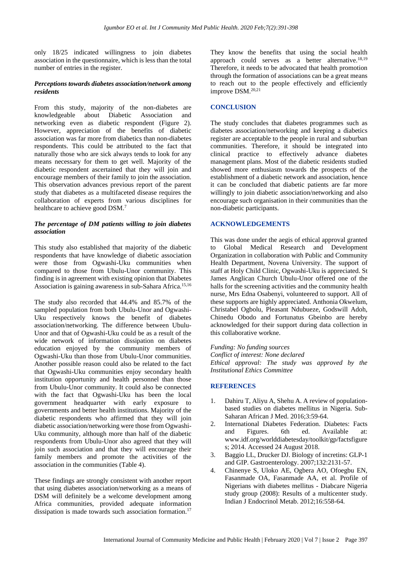only 18/25 indicated willingness to join diabetes association in the questionnaire, which is less than the total number of entries in the register.

#### *Perceptions towards diabetes association/network among residents*

From this study, majority of the non-diabetes are knowledgeable about Diabetic Association and networking even as diabetic respondent (Figure 2). However, appreciation of the benefits of diabetic association was far more from diabetics than non-diabetes respondents. This could be attributed to the fact that naturally those who are sick always tends to look for any means necessary for them to get well. Majority of the diabetic respondent ascertained that they will join and encourage members of their family to join the association. This observation advances previous report of the parent study that diabetes as a multifaceted disease requires the collaboration of experts from various disciplines for healthcare to achieve good DSM.<sup>7</sup>

## *The percentage of DM patients willing to join diabetes association*

This study also established that majority of the diabetic respondents that have knowledge of diabetic association were those from Ogwashi-Uku communities when compared to those from Ubulu-Unor community. This finding is in agreement with existing opinion that Diabetes Association is gaining awareness in sub-Sahara Africa.<sup>15,16</sup>

The study also recorded that 44.4% and 85.7% of the sampled population from both Ubulu-Unor and Ogwashi-Uku respectively knows the benefit of diabetes association/networking. The difference between Ubulu-Unor and that of Ogwashi-Uku could be as a result of the wide network of information dissipation on diabetes education enjoyed by the community members of Ogwashi-Uku than those from Ubulu-Unor communities. Another possible reason could also be related to the fact that Ogwashi-Uku communities enjoy secondary health institution opportunity and health personnel than those from Ubulu-Unor community. It could also be connected with the fact that Ogwashi-Uku has been the local government headquarter with early exposure to governments and better health institutions. Majority of the diabetic respondents who affirmed that they will join diabetic association/networking were those from Ogwashi-Uku community, although more than half of the diabetic respondents from Ubulu-Unor also agreed that they will join such association and that they will encourage their family members and promote the activities of the association in the communities (Table 4).

These findings are strongly consistent with another report that using diabetes association/networking as a means of DSM will definitely be a welcome development among Africa communities, provided adequate information dissipation is made towards such association formation.<sup>17</sup>

They know the benefits that using the social health approach could serves as a better alternative.<sup>18,19</sup> Therefore, it needs to be advocated that health promotion through the formation of associations can be a great means to reach out to the people effectively and efficiently improve DSM.20,21

## **CONCLUSION**

The study concludes that diabetes programmes such as diabetes association/networking and keeping a diabetics register are acceptable to the people in rural and suburban communities. Therefore, it should be integrated into clinical practice to effectively advance diabetes management plans. Most of the diabetic residents studied showed more enthusiasm towards the prospects of the establishment of a diabetic network and association, hence it can be concluded that diabetic patients are far more willingly to join diabetic association/networking and also encourage such organisation in their communities than the non-diabetic participants.

## **ACKNOWLEDGEMENTS**

This was done under the aegis of ethical approval granted to Global Medical Research and Development Organization in collaboration with Public and Community Health Department, Novena University. The support of staff at Holy Child Clinic, Ogwashi-Uku is appreciated. St James Anglican Church Ubulu-Unor offered one of the halls for the screening activities and the community health nurse, Mrs Edna Osabenyi, volunteered to support. All of these supports are highly appreciated. Anthonia Okwelum, Christabel Ogbolu, Pleasant Ndubueze, Godswill Adoh, Chinedu Obodo and Fortunatus Gbeinbo are hereby acknowledged for their support during data collection in this collaborative workne.

*Funding: No funding sources Conflict of interest: None declared Ethical approval: The study was approved by the Institutional Ethics Committee*

## **REFERENCES**

- 1. Dahiru T, Aliyu A, Shehu A. A review of populationbased studies on diabetes mellitus in Nigeria. Sub-Saharan African J Med. 2016;3:59-64.
- 2. International Diabetes Federation. Diabetes: Facts and Figures. 6th ed. Available at: www.idf.org/worlddiabetesday/toolkit/gp/factsfigure s; 2014. Accessed 24 August 2018.
- 3. Baggio LL, Drucker DJ. Biology of incretins: GLP-1 and GIP. Gastroenterology. 2007;132:2131-57.
- 4. Chinenye S, Uloko AE, Ogbera AO, Ofoegbu EN, Fasanmade OA, Fasanmade AA, et al. Profile of Nigerians with diabetes mellitus - Diabcare Nigeria study group (2008): Results of a multicenter study. Indian J Endocrinol Metab. 2012;16:558-64.